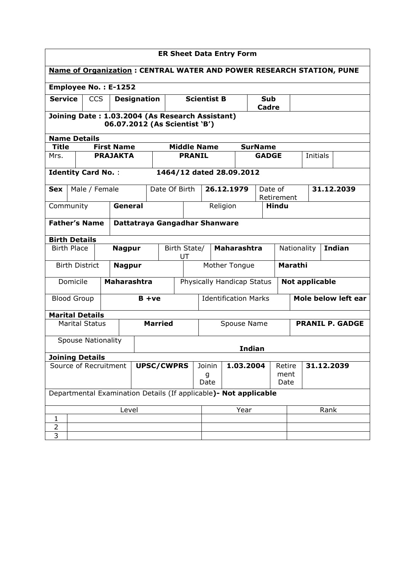| <b>ER Sheet Data Entry Form</b>                                             |                                                                                  |            |               |                                                                   |                   |                          |                     |                             |                    |                            |                          |                        |                        |            |                              |                     |  |            |
|-----------------------------------------------------------------------------|----------------------------------------------------------------------------------|------------|---------------|-------------------------------------------------------------------|-------------------|--------------------------|---------------------|-----------------------------|--------------------|----------------------------|--------------------------|------------------------|------------------------|------------|------------------------------|---------------------|--|------------|
| <b>Name of Organization: CENTRAL WATER AND POWER RESEARCH STATION, PUNE</b> |                                                                                  |            |               |                                                                   |                   |                          |                     |                             |                    |                            |                          |                        |                        |            |                              |                     |  |            |
| <b>Employee No.: E-1252</b>                                                 |                                                                                  |            |               |                                                                   |                   |                          |                     |                             |                    |                            |                          |                        |                        |            |                              |                     |  |            |
| <b>Service</b>                                                              |                                                                                  | <b>CCS</b> |               | <b>Designation</b>                                                |                   |                          |                     | <b>Scientist B</b>          |                    |                            | Sub<br>Cadre             |                        |                        |            |                              |                     |  |            |
|                                                                             | Joining Date: 1.03.2004 (As Research Assistant)<br>06.07.2012 (As Scientist 'B') |            |               |                                                                   |                   |                          |                     |                             |                    |                            |                          |                        |                        |            |                              |                     |  |            |
|                                                                             | <b>Name Details</b>                                                              |            |               |                                                                   |                   |                          |                     |                             |                    |                            |                          |                        |                        |            |                              |                     |  |            |
| <b>Title</b>                                                                |                                                                                  |            |               | <b>First Name</b>                                                 |                   |                          |                     |                             | <b>Middle Name</b> |                            |                          |                        | <b>SurName</b>         |            |                              |                     |  |            |
| Mrs.                                                                        |                                                                                  |            |               | <b>PRAJAKTA</b>                                                   |                   |                          |                     | <b>PRANIL</b>               |                    |                            |                          |                        | <b>GADGE</b>           |            |                              | Initials            |  |            |
| <b>Identity Card No.:</b>                                                   |                                                                                  |            |               |                                                                   |                   |                          |                     |                             |                    |                            | 1464/12 dated 28.09.2012 |                        |                        |            |                              |                     |  |            |
| <b>Sex</b>                                                                  |                                                                                  |            | Male / Female |                                                                   |                   | Date Of Birth            |                     |                             |                    |                            | 26.12.1979               |                        | Date of<br>Retirement  |            |                              |                     |  | 31.12.2039 |
| General<br>Community                                                        |                                                                                  |            |               |                                                                   |                   | Religion<br><b>Hindu</b> |                     |                             |                    |                            |                          |                        |                        |            |                              |                     |  |            |
| <b>Father's Name</b>                                                        |                                                                                  |            |               | Dattatraya Gangadhar Shanware                                     |                   |                          |                     |                             |                    |                            |                          |                        |                        |            |                              |                     |  |            |
| <b>Birth Details</b>                                                        |                                                                                  |            |               |                                                                   |                   |                          |                     |                             |                    |                            |                          |                        |                        |            |                              |                     |  |            |
|                                                                             | <b>Birth Place</b>                                                               |            |               | <b>Nagpur</b>                                                     |                   | Birth State/<br>UT       |                     |                             | <b>Maharashtra</b> |                            |                          |                        |                        |            | <b>Indian</b><br>Nationality |                     |  |            |
|                                                                             | <b>Birth District</b>                                                            |            |               | <b>Nagpur</b>                                                     |                   |                          |                     | Mother Tongue               |                    |                            |                          |                        |                        | Marathi    |                              |                     |  |            |
|                                                                             | Domicile                                                                         |            |               | <b>Maharashtra</b>                                                |                   |                          |                     |                             |                    | Physically Handicap Status |                          |                        | <b>Not applicable</b>  |            |                              |                     |  |            |
|                                                                             | <b>Blood Group</b>                                                               |            |               |                                                                   |                   | $B + ve$                 |                     | <b>Identification Marks</b> |                    |                            |                          |                        |                        |            |                              | Mole below left ear |  |            |
| <b>Marital Details</b>                                                      |                                                                                  |            |               |                                                                   |                   |                          |                     |                             |                    |                            |                          |                        |                        |            |                              |                     |  |            |
|                                                                             | <b>Marital Status</b>                                                            |            |               |                                                                   |                   | <b>Married</b>           |                     |                             | Spouse Name        |                            |                          |                        | <b>PRANIL P. GADGE</b> |            |                              |                     |  |            |
|                                                                             | <b>Spouse Nationality</b>                                                        |            |               |                                                                   |                   |                          |                     |                             |                    |                            |                          | <b>Indian</b>          |                        |            |                              |                     |  |            |
| <b>Joining Details</b>                                                      |                                                                                  |            |               |                                                                   |                   |                          |                     |                             |                    |                            |                          |                        |                        |            |                              |                     |  |            |
| Source of Recruitment                                                       |                                                                                  |            |               |                                                                   | <b>UPSC/CWPRS</b> |                          | Joinin<br>g<br>Date |                             |                    | 1.03.2004                  |                          | Retire<br>ment<br>Date |                        | 31.12.2039 |                              |                     |  |            |
|                                                                             |                                                                                  |            |               | Departmental Examination Details (If applicable) - Not applicable |                   |                          |                     |                             |                    |                            |                          |                        |                        |            |                              |                     |  |            |
| Level                                                                       |                                                                                  |            |               |                                                                   |                   |                          |                     |                             | Year               |                            |                          |                        |                        |            | Rank                         |                     |  |            |
| 1                                                                           |                                                                                  |            |               |                                                                   |                   |                          |                     |                             |                    |                            |                          |                        |                        |            |                              |                     |  |            |
| $\overline{c}$<br>3                                                         |                                                                                  |            |               |                                                                   |                   |                          |                     |                             |                    |                            |                          |                        |                        |            |                              |                     |  |            |
|                                                                             |                                                                                  |            |               |                                                                   |                   |                          |                     |                             |                    |                            |                          |                        |                        |            |                              |                     |  |            |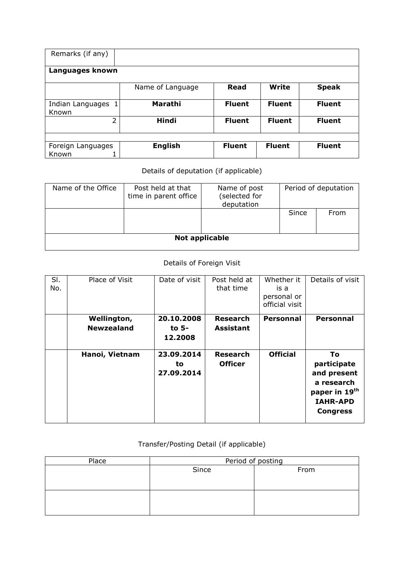| Remarks (if any)               |                  |               |               |               |  |  |  |  |  |  |
|--------------------------------|------------------|---------------|---------------|---------------|--|--|--|--|--|--|
| Languages known                |                  |               |               |               |  |  |  |  |  |  |
|                                | Name of Language | <b>Read</b>   | <b>Write</b>  | <b>Speak</b>  |  |  |  |  |  |  |
| Indian Languages<br>1<br>Known | Marathi          | <b>Fluent</b> | <b>Fluent</b> | <b>Fluent</b> |  |  |  |  |  |  |
| $\overline{2}$                 | <b>Hindi</b>     | <b>Fluent</b> | <b>Fluent</b> | <b>Fluent</b> |  |  |  |  |  |  |
|                                |                  |               |               |               |  |  |  |  |  |  |
| Foreign Languages              | <b>English</b>   | <b>Fluent</b> | <b>Fluent</b> | <b>Fluent</b> |  |  |  |  |  |  |
| Known                          |                  |               |               |               |  |  |  |  |  |  |

## Details of deputation (if applicable)

| Name of the Office | Post held at that<br>time in parent office | Name of post<br>(selected for<br>deputation | Period of deputation |      |  |  |  |  |  |
|--------------------|--------------------------------------------|---------------------------------------------|----------------------|------|--|--|--|--|--|
|                    |                                            |                                             | Since                | From |  |  |  |  |  |
| Not applicable     |                                            |                                             |                      |      |  |  |  |  |  |

## Details of Foreign Visit

| SI.<br>No. | Place of Visit                   | Date of visit                  | Post held at<br>that time           | Whether it<br>is a<br>personal or<br>official visit | Details of visit                                                                                      |
|------------|----------------------------------|--------------------------------|-------------------------------------|-----------------------------------------------------|-------------------------------------------------------------------------------------------------------|
|            | Wellington,<br><b>Newzealand</b> | 20.10.2008<br>to 5-<br>12.2008 | <b>Research</b><br><b>Assistant</b> | <b>Personnal</b>                                    | <b>Personnal</b>                                                                                      |
|            | Hanoi, Vietnam                   | 23.09.2014<br>to<br>27.09.2014 | <b>Research</b><br><b>Officer</b>   | <b>Official</b>                                     | Τo<br>participate<br>and present<br>a research<br>paper in 19th<br><b>IAHR-APD</b><br><b>Congress</b> |

## Transfer/Posting Detail (if applicable)

| Place | Period of posting |      |  |  |  |  |
|-------|-------------------|------|--|--|--|--|
|       | Since             | From |  |  |  |  |
|       |                   |      |  |  |  |  |
|       |                   |      |  |  |  |  |
|       |                   |      |  |  |  |  |
|       |                   |      |  |  |  |  |
|       |                   |      |  |  |  |  |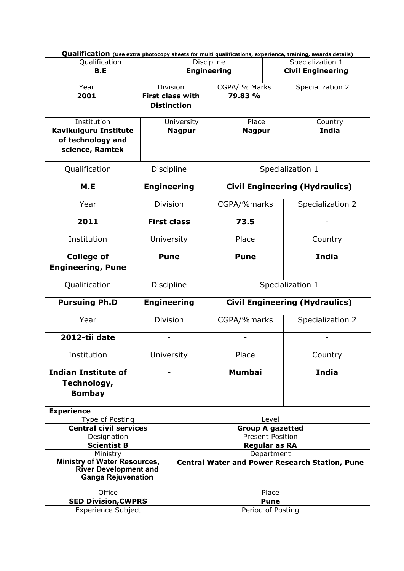| Qualification (Use extra photocopy sheets for multi qualifications, experience, training, awards details) |  |                                                       |                         |                  |                                       |                                       |  |  |  |
|-----------------------------------------------------------------------------------------------------------|--|-------------------------------------------------------|-------------------------|------------------|---------------------------------------|---------------------------------------|--|--|--|
| Qualification                                                                                             |  |                                                       | Discipline              |                  |                                       | Specialization 1                      |  |  |  |
| B.E                                                                                                       |  | <b>Engineering</b>                                    |                         |                  |                                       | <b>Civil Engineering</b>              |  |  |  |
|                                                                                                           |  |                                                       |                         |                  |                                       |                                       |  |  |  |
| Year                                                                                                      |  | Division                                              |                         | CGPA/ % Marks    |                                       | Specialization 2                      |  |  |  |
| 2001                                                                                                      |  | <b>First class with</b>                               |                         | 79.83 %          |                                       |                                       |  |  |  |
|                                                                                                           |  | <b>Distinction</b>                                    |                         |                  |                                       |                                       |  |  |  |
| Institution                                                                                               |  | University                                            |                         | Place            |                                       | Country                               |  |  |  |
| Kavikulguru Institute                                                                                     |  | <b>Nagpur</b>                                         |                         | <b>Nagpur</b>    |                                       | India                                 |  |  |  |
| of technology and                                                                                         |  |                                                       |                         |                  |                                       |                                       |  |  |  |
|                                                                                                           |  |                                                       |                         |                  |                                       |                                       |  |  |  |
| science, Ramtek                                                                                           |  |                                                       |                         |                  |                                       |                                       |  |  |  |
| Qualification                                                                                             |  | Discipline                                            |                         |                  |                                       | Specialization 1                      |  |  |  |
|                                                                                                           |  |                                                       |                         |                  |                                       |                                       |  |  |  |
| M.E                                                                                                       |  | <b>Engineering</b>                                    |                         |                  |                                       | <b>Civil Engineering (Hydraulics)</b> |  |  |  |
| Year                                                                                                      |  | <b>Division</b>                                       |                         | CGPA/%marks      |                                       | Specialization 2                      |  |  |  |
| 2011                                                                                                      |  | <b>First class</b>                                    |                         | 73.5             |                                       |                                       |  |  |  |
| Institution                                                                                               |  | University                                            |                         | Place            |                                       | Country                               |  |  |  |
| <b>College of</b>                                                                                         |  | <b>Pune</b>                                           |                         | <b>Pune</b>      |                                       | <b>India</b>                          |  |  |  |
| <b>Engineering, Pune</b>                                                                                  |  |                                                       |                         |                  |                                       |                                       |  |  |  |
| Qualification                                                                                             |  | Discipline                                            |                         | Specialization 1 |                                       |                                       |  |  |  |
| <b>Pursuing Ph.D</b>                                                                                      |  | <b>Engineering</b>                                    |                         |                  | <b>Civil Engineering (Hydraulics)</b> |                                       |  |  |  |
| Year                                                                                                      |  | <b>Division</b>                                       |                         | CGPA/%marks      |                                       | Specialization 2                      |  |  |  |
| 2012-tii date                                                                                             |  |                                                       |                         |                  |                                       |                                       |  |  |  |
| Institution                                                                                               |  | University                                            | Place                   |                  |                                       | Country                               |  |  |  |
| <b>Indian Institute of</b>                                                                                |  | -                                                     |                         | <b>Mumbai</b>    |                                       | <b>India</b>                          |  |  |  |
| Technology,                                                                                               |  |                                                       |                         |                  |                                       |                                       |  |  |  |
| <b>Bombay</b>                                                                                             |  |                                                       |                         |                  |                                       |                                       |  |  |  |
|                                                                                                           |  |                                                       |                         |                  |                                       |                                       |  |  |  |
| <b>Experience</b>                                                                                         |  |                                                       |                         |                  |                                       |                                       |  |  |  |
| Type of Posting                                                                                           |  |                                                       | Level                   |                  |                                       |                                       |  |  |  |
| <b>Central civil services</b>                                                                             |  |                                                       | <b>Group A gazetted</b> |                  |                                       |                                       |  |  |  |
| Designation                                                                                               |  | <b>Present Position</b>                               |                         |                  |                                       |                                       |  |  |  |
| <b>Scientist B</b>                                                                                        |  |                                                       |                         |                  | <b>Regular as RA</b>                  |                                       |  |  |  |
| Ministry                                                                                                  |  |                                                       |                         | Department       |                                       |                                       |  |  |  |
| <b>Ministry of Water Resources,</b><br><b>River Development and</b><br><b>Ganga Rejuvenation</b>          |  | <b>Central Water and Power Research Station, Pune</b> |                         |                  |                                       |                                       |  |  |  |
| Office                                                                                                    |  |                                                       | Place                   |                  |                                       |                                       |  |  |  |
| <b>SED Division, CWPRS</b>                                                                                |  |                                                       | <b>Pune</b>             |                  |                                       |                                       |  |  |  |
| <b>Experience Subject</b>                                                                                 |  | Period of Posting                                     |                         |                  |                                       |                                       |  |  |  |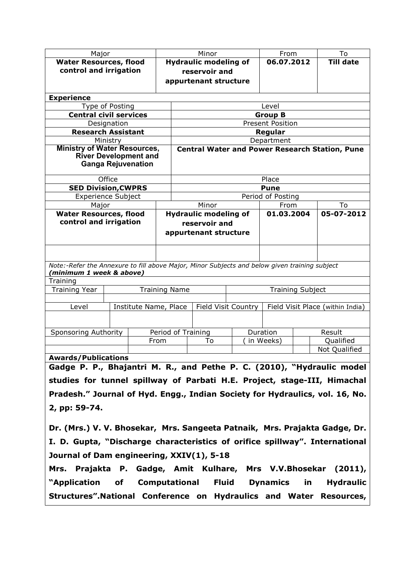| Major                                                                                         |                      | Minor                        |                            | From                    |                                                                          | To                                                    |  |  |  |
|-----------------------------------------------------------------------------------------------|----------------------|------------------------------|----------------------------|-------------------------|--------------------------------------------------------------------------|-------------------------------------------------------|--|--|--|
| <b>Water Resources, flood</b>                                                                 |                      | <b>Hydraulic modeling of</b> |                            | 06.07.2012              |                                                                          | <b>Till date</b>                                      |  |  |  |
| control and irrigation                                                                        |                      | reservoir and                |                            |                         |                                                                          |                                                       |  |  |  |
|                                                                                               |                      | appurtenant structure        |                            |                         |                                                                          |                                                       |  |  |  |
|                                                                                               |                      |                              |                            |                         |                                                                          |                                                       |  |  |  |
| <b>Experience</b>                                                                             |                      |                              |                            |                         |                                                                          |                                                       |  |  |  |
| Type of Posting                                                                               |                      |                              |                            | Level                   |                                                                          |                                                       |  |  |  |
| <b>Central civil services</b>                                                                 |                      |                              |                            | <b>Group B</b>          |                                                                          |                                                       |  |  |  |
| Designation                                                                                   |                      |                              |                            | <b>Present Position</b> |                                                                          |                                                       |  |  |  |
| <b>Research Assistant</b>                                                                     |                      |                              |                            | Regular                 |                                                                          |                                                       |  |  |  |
| Ministry                                                                                      |                      |                              |                            | Department              |                                                                          |                                                       |  |  |  |
| <b>Ministry of Water Resources,</b>                                                           |                      |                              |                            |                         |                                                                          | <b>Central Water and Power Research Station, Pune</b> |  |  |  |
| <b>River Development and</b>                                                                  |                      |                              |                            |                         |                                                                          |                                                       |  |  |  |
| <b>Ganga Rejuvenation</b>                                                                     |                      |                              |                            |                         |                                                                          |                                                       |  |  |  |
| Office                                                                                        |                      |                              |                            | Place                   |                                                                          |                                                       |  |  |  |
| <b>SED Division, CWPRS</b>                                                                    |                      | <b>Pune</b>                  |                            |                         |                                                                          |                                                       |  |  |  |
| <b>Experience Subject</b>                                                                     |                      | Period of Posting            |                            |                         |                                                                          |                                                       |  |  |  |
| Major                                                                                         |                      | Minor                        | From                       | To                      |                                                                          |                                                       |  |  |  |
| <b>Water Resources, flood</b>                                                                 |                      | <b>Hydraulic modeling of</b> |                            | 01.03.2004              |                                                                          | 05-07-2012                                            |  |  |  |
| control and irrigation                                                                        |                      | reservoir and                |                            |                         |                                                                          |                                                       |  |  |  |
|                                                                                               |                      | appurtenant structure        |                            |                         |                                                                          |                                                       |  |  |  |
|                                                                                               |                      |                              |                            |                         |                                                                          |                                                       |  |  |  |
|                                                                                               |                      |                              |                            |                         |                                                                          |                                                       |  |  |  |
| Note:-Refer the Annexure to fill above Major, Minor Subjects and below given training subject |                      |                              |                            |                         |                                                                          |                                                       |  |  |  |
| (minimum 1 week & above)                                                                      |                      |                              |                            |                         |                                                                          |                                                       |  |  |  |
| Training                                                                                      |                      |                              |                            |                         |                                                                          |                                                       |  |  |  |
| <b>Training Year</b>                                                                          | <b>Training Name</b> | <b>Training Subject</b>      |                            |                         |                                                                          |                                                       |  |  |  |
|                                                                                               |                      |                              |                            |                         |                                                                          |                                                       |  |  |  |
| Institute Name, Place<br>Level                                                                |                      |                              | <b>Field Visit Country</b> |                         |                                                                          | Field Visit Place (within India)                      |  |  |  |
|                                                                                               |                      |                              |                            |                         |                                                                          |                                                       |  |  |  |
| <b>Sponsoring Authority</b>                                                                   | Period of Training   |                              |                            | Duration                |                                                                          | Result                                                |  |  |  |
|                                                                                               | From                 | To                           |                            | in Weeks)               |                                                                          | Qualified                                             |  |  |  |
|                                                                                               |                      |                              |                            |                         |                                                                          | Not Qualified                                         |  |  |  |
| <b>Awards/Publications</b>                                                                    |                      |                              |                            | $\sqrt{2221}$           | $\mathbf{W}$ , $\mathbf{H}$ , $\mathbf{H}$ , $\mathbf{H}$ , $\mathbf{H}$ | .                                                     |  |  |  |

Gadge P. P., Bhajantri M. R., and Pethe P. C. (2010), "Hydraulic model studies for tunnel spillway of Parbati H.E. Project, stage-III, Himachal Pradesh." Journal of Hyd. Engg., Indian Society for Hydraulics, vol. 16, No. 2, pp: 59-74.

Dr. (Mrs.) V. V. Bhosekar, Mrs. Sangeeta Patnaik, Mrs. Prajakta Gadge, Dr. I. D. Gupta, "Discharge characteristics of orifice spillway". International Journal of Dam engineering, XXIV(1), 5-18

Mrs. Prajakta P. Gadge, Amit Kulhare, Mrs V.V.Bhosekar (2011), "Application of Computational Fluid Dynamics in Hydraulic Structures".National Conference on Hydraulics and Water Resources,